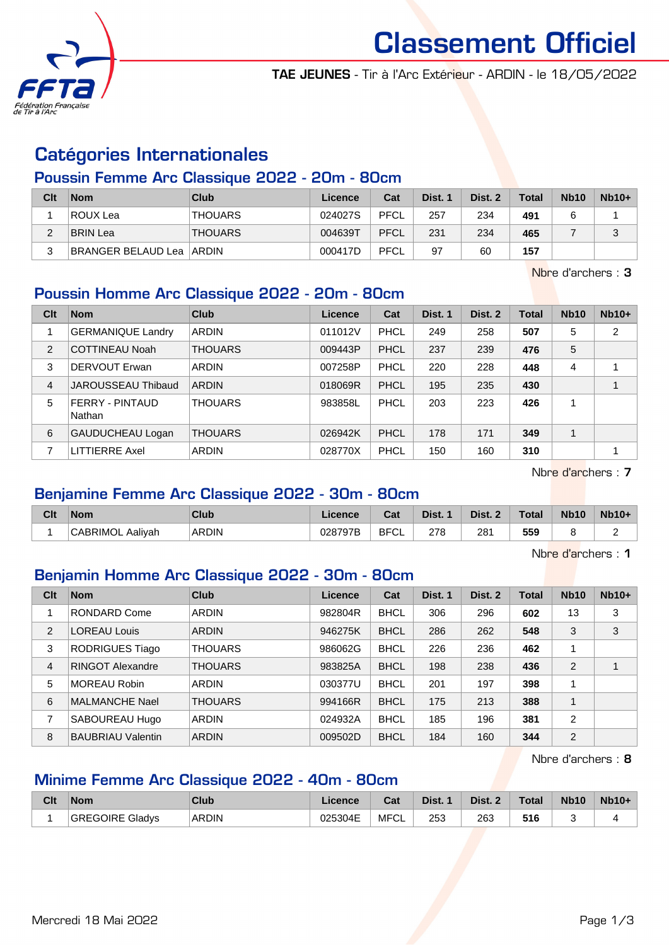

Classement Officiel

TAE JEUNES - Tir à l'Arc Extérieur - ARDIN - le 18/05/2022

### Catégories Internationales

#### Poussin Femme Arc Classique 2022 - 20m - 80cm

| Clt | <b>Nom</b>                 | <b>Club</b>    | Licence | Cat  | Dist. 1 | Dist. 2 | <b>Total</b> | <b>Nb10</b> | $Nb10+$ |
|-----|----------------------------|----------------|---------|------|---------|---------|--------------|-------------|---------|
|     | ROUX Lea                   | <b>THOUARS</b> | 024027S | PFCL | 257     | 234     | 491          |             |         |
| ∼   | BRIN Lea                   | <b>THOUARS</b> | 004639T | PFCL | 231     | 234     | 465          |             | ن       |
| 2   | BRANGER BELAUD Lea   ARDIN |                | 000417D | PFCL | 97      | 60      | 157          |             |         |

Nbre d'archers : 3

### Poussin Homme Arc Classique 2022 - 20m - 80cm

| Clt            | <b>Nom</b>                       | <b>Club</b>    | Licence | Cat         | Dist. 1 | Dist. 2 | Total | <b>Nb10</b> | $Nb10+$        |
|----------------|----------------------------------|----------------|---------|-------------|---------|---------|-------|-------------|----------------|
|                | <b>GERMANIQUE Landry</b>         | <b>ARDIN</b>   | 011012V | PHCL        | 249     | 258     | 507   | 5           | $\overline{2}$ |
| $\overline{2}$ | <b>COTTINEAU Noah</b>            | <b>THOUARS</b> | 009443P | <b>PHCL</b> | 237     | 239     | 476   | 5           |                |
| 3              | DERVOUT Erwan                    | <b>ARDIN</b>   | 007258P | PHCL        | 220     | 228     | 448   | 4           |                |
| $\overline{4}$ | JAROUSSEAU Thibaud               | <b>ARDIN</b>   | 018069R | <b>PHCL</b> | 195     | 235     | 430   |             |                |
| 5              | <b>FERRY - PINTAUD</b><br>Nathan | <b>THOUARS</b> | 983858L | PHCL        | 203     | 223     | 426   |             |                |
| 6              | <b>GAUDUCHEAU Logan</b>          | <b>THOUARS</b> | 026942K | <b>PHCL</b> | 178     | 171     | 349   |             |                |
|                | LITTIERRE Axel                   | <b>ARDIN</b>   | 028770X | PHCL        | 150     | 160     | 310   |             |                |

Nbre d'archers : 7

#### Benjamine Femme Arc Classique 2022 - 30m - 80cm

| Clt | <b>Nom</b>              | Club         | Licence | $\mathbf{A}$<br>⊍⊿ | Dist. | Dist. | <b>Total</b> | <b>Nb10</b> | Nb10+         |
|-----|-------------------------|--------------|---------|--------------------|-------|-------|--------------|-------------|---------------|
|     | <b>CABRIMOL Aaliyah</b> | <b>ARDIN</b> | 028797B | <b>BFCL</b>        | 278   | 281   | 559          |             | ∽<br><u>.</u> |

Nbre d'archers : 1

#### Benjamin Homme Arc Classique 2022 - 30m - 80cm

| Clt            | <b>Nom</b>               | Club           | Licence | Cat         | Dist. 1 | Dist. 2 | Total | <b>Nb10</b> | $Nb10+$ |
|----------------|--------------------------|----------------|---------|-------------|---------|---------|-------|-------------|---------|
|                | <b>RONDARD Come</b>      | <b>ARDIN</b>   | 982804R | <b>BHCL</b> | 306     | 296     | 602   | 13          | 3       |
| 2              | <b>LOREAU Louis</b>      | <b>ARDIN</b>   | 946275K | <b>BHCL</b> | 286     | 262     | 548   | 3           | 3       |
| 3              | <b>RODRIGUES Tiago</b>   | <b>THOUARS</b> | 986062G | <b>BHCL</b> | 226     | 236     | 462   | 1           |         |
| $\overline{4}$ | <b>RINGOT Alexandre</b>  | <b>THOUARS</b> | 983825A | <b>BHCL</b> | 198     | 238     | 436   | 2           |         |
| 5              | MOREAU Robin             | ARDIN          | 030377U | <b>BHCL</b> | 201     | 197     | 398   | 1           |         |
| 6              | <b>MALMANCHE Nael</b>    | <b>THOUARS</b> | 994166R | <b>BHCL</b> | 175     | 213     | 388   | 1           |         |
| 7              | SABOUREAU Hugo           | <b>ARDIN</b>   | 024932A | <b>BHCL</b> | 185     | 196     | 381   | 2           |         |
| 8              | <b>BAUBRIAU Valentin</b> | <b>ARDIN</b>   | 009502D | <b>BHCL</b> | 184     | 160     | 344   | 2           |         |

Nbre d'archers : 8

## Minime Femme Arc Classique 2022 - 40m - 80cm

| Clt | <b>Nom</b>             | Club         | Licence | $F_{\alpha+1}$<br>⊍aι | Dist. | Dist. | <b>Total</b> | <b>Nb10</b> | <b>Nb10+</b> |
|-----|------------------------|--------------|---------|-----------------------|-------|-------|--------------|-------------|--------------|
|     | <b>GREGOIRE Gladys</b> | <b>ARDIN</b> | 025304E | <b>MFCL</b>           | 253   | 263   | 516          |             |              |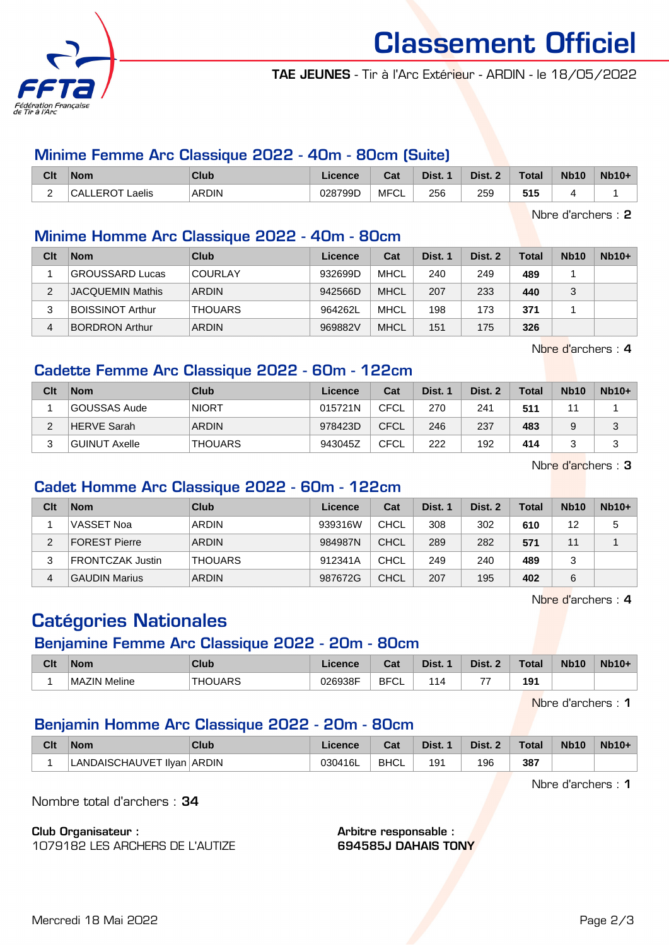

# Classement Officiel

TAE JEUNES - Tir à l'Arc Extérieur - ARDIN - le 18/05/2022

#### Minime Femme Arc Classique 2022 - 40m - 80cm (Suite)

| Clt                                  | <b>Nom</b>                  | Club         | Licence | <b>Dol</b><br>udl     | Dist. | Dist. | <b>Total</b> | <b>Nb10</b> | <b>Nb10+</b> |
|--------------------------------------|-----------------------------|--------------|---------|-----------------------|-------|-------|--------------|-------------|--------------|
| $\overline{\phantom{0}}$<br><u>_</u> | Laelis<br><b>CALLEROT I</b> | <b>ARDIN</b> | 028799D | . MFC' $\overline{ }$ | 256   | 259   | 515          |             |              |

Nbre d'archers : 2

### Minime Homme Arc Classique 2022 - 40m - 80cm

| Clt | <b>Nom</b>              | Club           | Licence | Cat         | Dist. 1 | Dist. 2 | Total | <b>Nb10</b> | $Nb10+$ |
|-----|-------------------------|----------------|---------|-------------|---------|---------|-------|-------------|---------|
|     | <b>GROUSSARD Lucas</b>  | <b>COURLAY</b> | 932699D | MHCL        | 240     | 249     | 489   |             |         |
| ◠   | <b>JACQUEMIN Mathis</b> | <b>ARDIN</b>   | 942566D | <b>MHCL</b> | 207     | 233     | 440   |             |         |
| 3   | <b>BOISSINOT Arthur</b> | <b>THOUARS</b> | 964262L | MHCL        | 198     | 173     | 371   |             |         |
| 4   | <b>BORDRON Arthur</b>   | ARDIN          | 969882V | <b>MHCL</b> | 151     | 175     | 326   |             |         |

Nbre d'archers : 4

#### Cadette Femme Arc Classique 2022 - 60m - 122cm

| Clt    | <b>Nom</b>         | Club           | Licence | Cat         | Dist. 1 | Dist. 2 | <b>Total</b> | <b>Nb10</b> | $Nb10+$     |
|--------|--------------------|----------------|---------|-------------|---------|---------|--------------|-------------|-------------|
|        | GOUSSAS Aude       | <b>NIORT</b>   | 015721N | <b>CFCL</b> | 270     | 241     | 511          | 44          |             |
| $\sim$ | <b>HERVE Sarah</b> | <b>ARDIN</b>   | 978423D | <b>CFCL</b> | 246     | 237     | 483          |             | $\sim$<br>ت |
| C      | GUINUT Axelle      | <b>THOUARS</b> | 943045Z | <b>CFCL</b> | 222     | 192     | 414          |             |             |

Nbre d'archers : 3

#### Cadet Homme Arc Classique 2022 - 60m - 122cm

| Clt | <b>Nom</b>              | <b>Club</b>    | Licence | Cat         | Dist. 1 | Dist. 2 | Total | <b>Nb10</b> | $Nb10+$ |
|-----|-------------------------|----------------|---------|-------------|---------|---------|-------|-------------|---------|
|     | VASSET Noa              | <b>ARDIN</b>   | 939316W | <b>CHCL</b> | 308     | 302     | 610   | 12          | 5       |
| 2   | <b>FOREST Pierre</b>    | <b>ARDIN</b>   | 984987N | <b>CHCL</b> | 289     | 282     | 571   | 11          |         |
| 3   | <b>FRONTCZAK Justin</b> | <b>THOUARS</b> | 912341A | CHCL        | 249     | 240     | 489   | 3           |         |
| 4   | <b>GAUDIN Marius</b>    | <b>ARDIN</b>   | 987672G | <b>CHCL</b> | 207     | 195     | 402   | 6           |         |

Nbre d'archers : 4

# Catégories Nationales

#### Benjamine Femme Arc Classique 2022 - 20m - 80cm

| Clt | <b>Nom</b>   | <b>Club</b> | .icence | Cat         | Dist.          | Dist. 2       | <b>Total</b> | <b>Nb10</b> | <b>Nb10+</b> |
|-----|--------------|-------------|---------|-------------|----------------|---------------|--------------|-------------|--------------|
|     | MAZIN Meline | THOUARS     | 026938F | <b>BFCL</b> | $\overline{ }$ | $\rightarrow$ | 191          |             |              |

Nbre d'archers : 1

#### Benjamin Homme Arc Classique 2022 - 20m - 80cm

| Clt | <b>Nom</b>                 | <b>Club</b> | ∟icence | Cat         | Dist. 1 | Dist. 2 | <b>Total</b> | <b>Nb10</b> | $Nb10+$ |
|-----|----------------------------|-------------|---------|-------------|---------|---------|--------------|-------------|---------|
|     | LANDAISCHAUVET IIyan ARDIN |             | 030416L | <b>BHCL</b> | 191     | 196     | 387          |             |         |

Nbre d'archers : 1

Nombre total d'archers : 34

Club Organisateur :

1079182 LES ARCHERS DE L'AUTIZE

Arbitre responsable : 694585J DAHAIS TONY